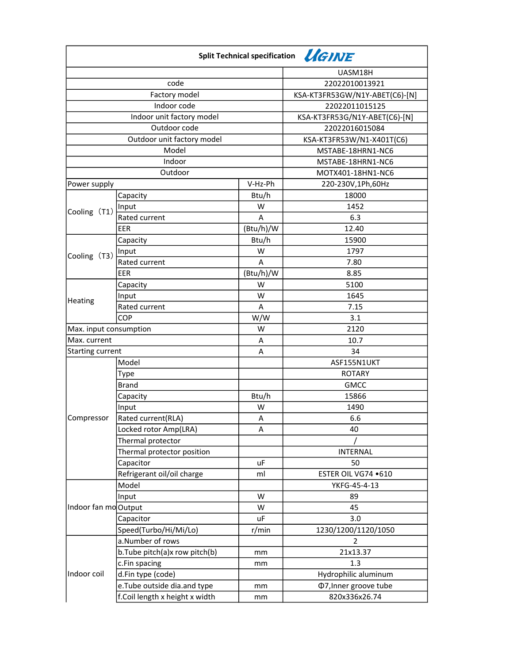| Split Technical specification <i>LGINE</i> |                                |           |                                |  |
|--------------------------------------------|--------------------------------|-----------|--------------------------------|--|
|                                            |                                |           | UASM18H                        |  |
| code                                       |                                |           | 22022010013921                 |  |
| Factory model                              |                                |           | KSA-KT3FR53GW/N1Y-ABET(C6)-[N] |  |
| Indoor code                                |                                |           | 22022011015125                 |  |
| Indoor unit factory model                  |                                |           | KSA-KT3FR53G/N1Y-ABET(C6)-[N]  |  |
| Outdoor code                               |                                |           | 22022016015084                 |  |
| Outdoor unit factory model                 |                                |           | KSA-KT3FR53W/N1-X401T(C6)      |  |
| Model                                      |                                |           | MSTABE-18HRN1-NC6              |  |
| Indoor                                     |                                |           | MSTABE-18HRN1-NC6              |  |
| Outdoor                                    |                                |           | MOTX401-18HN1-NC6              |  |
| Power supply                               |                                | V-Hz-Ph   | 220-230V,1Ph,60Hz              |  |
|                                            | Capacity                       | Btu/h     | 18000                          |  |
|                                            | Input                          | W         | 1452                           |  |
| Cooling (T1)                               | Rated current                  | A         | 6.3                            |  |
|                                            | EER                            | (Btu/h)/W | 12.40                          |  |
|                                            | Capacity                       | Btu/h     | 15900                          |  |
|                                            | Input                          | W         | 1797                           |  |
| Cooling (T3)                               | Rated current                  | A         | 7.80                           |  |
|                                            | <b>EER</b>                     | (Btu/h)/W | 8.85                           |  |
|                                            | Capacity                       | W         | 5100                           |  |
|                                            | Input                          | W         | 1645                           |  |
| Heating                                    | Rated current                  | A         | 7.15                           |  |
|                                            | COP                            | W/W       | 3.1                            |  |
| Max. input consumption                     |                                | W         | 2120                           |  |
| Max. current                               |                                | Α         | 10.7                           |  |
| <b>Starting current</b>                    |                                | A         | 34                             |  |
|                                            | Model                          |           | ASF155N1UKT                    |  |
|                                            | Type                           |           | <b>ROTARY</b>                  |  |
|                                            | <b>Brand</b>                   |           | <b>GMCC</b>                    |  |
| Compressor                                 | Capacity                       | Btu/h     | 15866                          |  |
|                                            | Input                          | W         | 1490                           |  |
|                                            | Rated current(RLA)             | А         | 6.6                            |  |
|                                            | Locked rotor Amp(LRA)          | Α         | 40                             |  |
|                                            | Thermal protector              |           |                                |  |
|                                            | Thermal protector position     |           | INTERNAL                       |  |
|                                            | Capacitor                      | uF        | 50                             |  |
|                                            | Refrigerant oil/oil charge     | ml        | ESTER OIL VG74 .610            |  |
| Indoor fan mo Output                       | Model                          |           | YKFG-45-4-13                   |  |
|                                            | Input                          | W         | 89                             |  |
|                                            |                                | W         | 45                             |  |
|                                            | Capacitor                      | uF        | 3.0                            |  |
|                                            | Speed(Turbo/Hi/Mi/Lo)          | r/min     | 1230/1200/1120/1050            |  |
| Indoor coil                                | a.Number of rows               |           | 2                              |  |
|                                            | b.Tube pitch(a)x row pitch(b)  | mm        | 21x13.37                       |  |
|                                            | c.Fin spacing                  | mm        | 1.3                            |  |
|                                            | d.Fin type (code)              |           | Hydrophilic aluminum           |  |
|                                            | e. Tube outside dia.and type   | mm        | <b>Φ7, Inner groove tube</b>   |  |
|                                            | f.Coil length x height x width | mm        | 820x336x26.74                  |  |